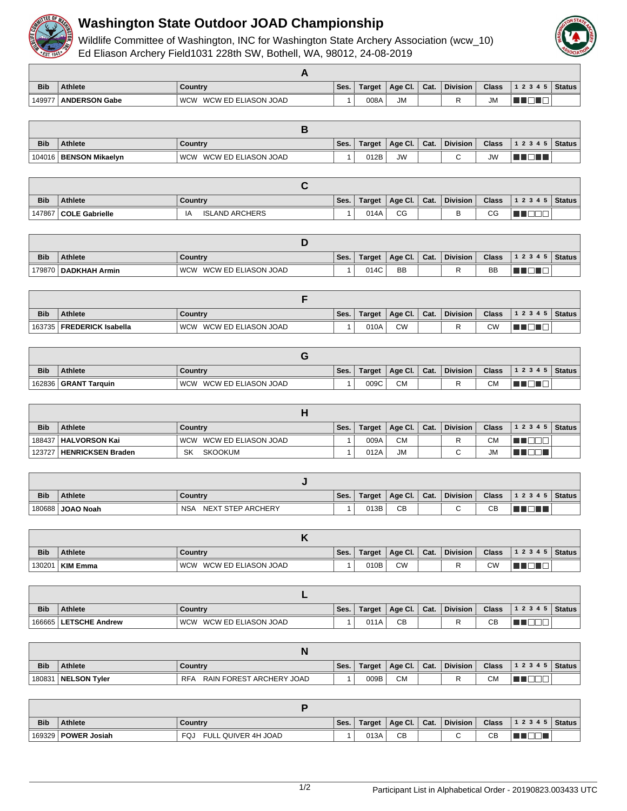

## **Washington State Outdoor JOAD Championship**

Wildlife Committee of Washington, INC for Washington State Archery Association (wcw\_10) Ed Eliason Archery Field 1031 228th SW, Bothell, WA, 98012, 24-08-2019



| <b>Bib</b> | Athlete              | Country                           | `Ses. | <b>Target</b> | Age Cl.   | Cat. | <b>Division</b> | <b>Class</b> | 1 2 3 4 5 | <b>Status</b> |
|------------|----------------------|-----------------------------------|-------|---------------|-----------|------|-----------------|--------------|-----------|---------------|
| 149977     | <b>ANDERSON Gabe</b> | <b>WCW</b><br>WCW ED ELIASON JOAD |       | 008A          | <b>JM</b> |      |                 | <b>JM</b>    |           |               |

| <b>Bib</b> | <b>Athlete</b>         | Country                           | Ses. | Target | Age Cl.   | Cat. | Division | <b>Class</b> | $ 12345 $ Status |  |
|------------|------------------------|-----------------------------------|------|--------|-----------|------|----------|--------------|------------------|--|
| 104016     | <b>BENSON Mikaelvn</b> | WCW ED ELIASON JOAD<br><b>WCW</b> |      | 012B   | <b>JW</b> |      |          | <b>JW</b>    |                  |  |

| <b>Bib</b> | <b>Athlete</b>          | Country               | Ses. | Target | Age Cl. | Cat. | <b>Division</b> | <b>Class</b> | 1 2 3 4 5   Status |  |
|------------|-------------------------|-----------------------|------|--------|---------|------|-----------------|--------------|--------------------|--|
|            | 147867   COLE Gabrielle | <b>ISLAND ARCHERS</b> |      | 014A   | CG      |      |                 | $\sim$<br>◡◡ |                    |  |

| <b>Bib</b> | <b>Athlete</b>         | Country                      | Ses. | Target | Age Cl.   | Cat. | <b>Division</b> | <b>Class</b> | $12345$ Status |  |
|------------|------------------------|------------------------------|------|--------|-----------|------|-----------------|--------------|----------------|--|
|            | 179870   DADKHAH Armin | WCW ED ELIASON JOAD<br>' WCW |      | 014C   | <b>BB</b> |      |                 | BB           |                |  |

| <b>Bib</b> | <b>Athlete</b>              | Country                      | Ses. | Target | Age Cl.   | Cat. | <b>Division</b> | <b>Class</b> | $1\ 2\ 3\ 4\ 5$ Status |  |
|------------|-----------------------------|------------------------------|------|--------|-----------|------|-----------------|--------------|------------------------|--|
|            | 163735   FREDERICK Isabella | ' WCW<br>WCW ED ELIASON JOAD |      | 010A   | <b>CW</b> |      |                 | СW           |                        |  |

| <b>Bib</b> | <b>Athlete</b>         | Country                           | Ses. | Target | Age Cl. | Cat. | <b>Division</b> | <b>Class</b> | 1 2 3 4 5 | Status |
|------------|------------------------|-----------------------------------|------|--------|---------|------|-----------------|--------------|-----------|--------|
|            | 162836   GRANT Tarquin | <b>WCW</b><br>WCW ED ELIASON JOAD |      | 009C   | СM      |      |                 | СM           |           |        |

| <b>Bib</b> | <b>Athlete</b>             | Country                 | Ses. | Target | Age Cl.   Cat. | <b>Division</b> | <b>Class</b> | $12345$ Status |  |
|------------|----------------------------|-------------------------|------|--------|----------------|-----------------|--------------|----------------|--|
|            | 188437   HALVORSON Kai     | WCW WCW ED ELIASON JOAD |      | 009A   | <b>CM</b>      |                 | СM           |                |  |
|            | 123727   HENRICKSEN Braden | SKOOKUM<br><b>SK</b>    |      | 012A   | <b>JM</b>      |                 | <b>JM</b>    |                |  |

| <b>Bib</b> | <b>Athlete</b>   | Country                         | Ses. | Target | Age Cl. | Cat. | <b>Division</b> | <b>Class</b> | 1 2 3 4 5   Status |  |
|------------|------------------|---------------------------------|------|--------|---------|------|-----------------|--------------|--------------------|--|
|            | 180688 JOAO Noah | <b>NSA</b><br>NEXT STEP ARCHERY |      | 013B   | CB      |      |                 | $\sim$<br>◡  |                    |  |

| <b>Bib</b> | Athlete         | Country                           | Ses. | Target | Age Cl.   | Cat. | <b>Division</b> | <b>Class</b> | 12345 | Status |
|------------|-----------------|-----------------------------------|------|--------|-----------|------|-----------------|--------------|-------|--------|
| 130201     | <b>KIM Emma</b> | WCW ED ELIASON JOAD<br><b>WCW</b> |      | 010B   | <b>CV</b> |      | D               | СW           |       |        |

| <b>Bib</b> | <b>Athlete</b>          | Country                           | Ses. | Target | Age Cl. | Cat. | <b>Division</b> | <b>Class</b> | 1 2 3 4 5   Status |  |
|------------|-------------------------|-----------------------------------|------|--------|---------|------|-----------------|--------------|--------------------|--|
|            | 166665   LETSCHE Andrew | <b>WCW</b><br>WCW ED ELIASON JOAD |      | 011A   | CB      |      |                 | CR<br>◡◡     |                    |  |

| <b>Bib</b> | Athlete               | Country                                | Ses. | Target | $ $ Age Cl. $ $ | Cat. | <b>Division</b> | <b>Class</b> | 1 2 3 4 5   Status |  |
|------------|-----------------------|----------------------------------------|------|--------|-----------------|------|-----------------|--------------|--------------------|--|
|            | 180831   NELSON Tyler | RAIN FOREST ARCHERY JOAD<br><b>RFA</b> |      | 009B   | <b>CM</b>       |      | D               | CМ           |                    |  |

| <b>Bib</b> | Athlete               | ∣ Countrv                   | Ses. | Target | $^{\circ}$ Age Cl. | Cat. | <b>Division</b> | <b>Class</b> | $\vert$ 1 2 3 4 5 $\vert$ Status |  |
|------------|-----------------------|-----------------------------|------|--------|--------------------|------|-----------------|--------------|----------------------------------|--|
|            | 169329   POWER Josiah | FULL QUIVER 4H JOAD<br>FQJ. |      | 013A   | CB                 |      |                 | CВ           |                                  |  |